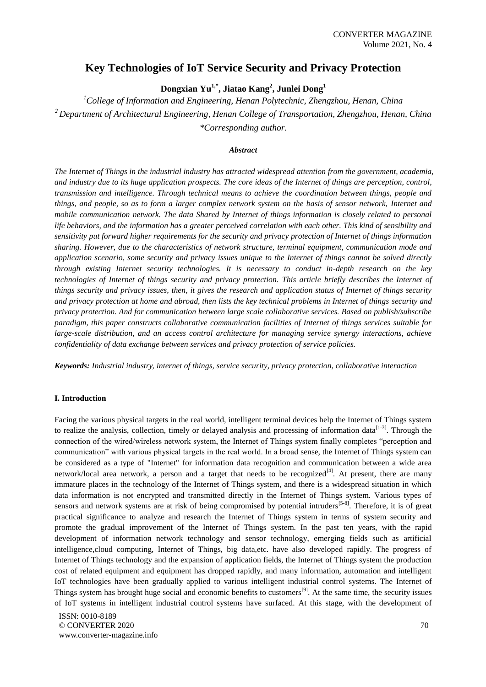# **Key Technologies of IoT Service Security and Privacy Protection**

**Dongxian Yu1,\* , Jiatao Kang<sup>2</sup> , Junlei Dong<sup>1</sup>**

*<sup>1</sup>College of Information and Engineering, Henan Polytechnic, Zhengzhou, Henan, China <sup>2</sup>Department of Architectural Engineering, Henan College of Transportation, Zhengzhou, Henan, China \*Corresponding author.*

## *Abstract*

*The Internet of Things in the industrial industry has attracted widespread attention from the government, academia, and industry due to its huge application prospects. The core ideas of the Internet of things are perception, control, transmission and intelligence. Through technical means to achieve the coordination between things, people and things, and people, so as to form a larger complex network system on the basis of sensor network, Internet and mobile communication network. The data Shared by Internet of things information is closely related to personal life behaviors, and the information has a greater perceived correlation with each other. This kind of sensibility and sensitivity put forward higher requirements for the security and privacy protection of Internet of things information sharing. However, due to the characteristics of network structure, terminal equipment, communication mode and application scenario, some security and privacy issues unique to the Internet of things cannot be solved directly through existing Internet security technologies. It is necessary to conduct in-depth research on the key technologies of Internet of things security and privacy protection. This article briefly describes the Internet of things security and privacy issues, then, it gives the research and application status of Internet of things security and privacy protection at home and abroad, then lists the key technical problems in Internet of things security and privacy protection. And for communication between large scale collaborative services. Based on publish/subscribe paradigm, this paper constructs collaborative communication facilities of Internet of things services suitable for large-scale distribution, and an access control architecture for managing service synergy interactions, achieve confidentiality of data exchange between services and privacy protection of service policies.*

*Keywords: Industrial industry, internet of things, service security, privacy protection, collaborative interaction*

## **I. Introduction**

Facing the various physical targets in the real world, intelligent terminal devices help the Internet of Things system to realize the analysis, collection, timely or delayed analysis and processing of information data<sup>[1-3]</sup>. Through the connection of the wired/wireless network system, the Internet of Things system finally completes "perception and communication" with various physical targets in the real world. In a broad sense, the Internet of Things system can be considered as a type of "Internet" for information data recognition and communication between a wide area network/local area network, a person and a target that needs to be recognized<sup>[4]</sup>. At present, there are many immature places in the technology of the Internet of Things system, and there is a widespread situation in which data information is not encrypted and transmitted directly in the Internet of Things system. Various types of sensors and network systems are at risk of being compromised by potential intruders<sup>[5-8]</sup>. Therefore, it is of great practical significance to analyze and research the Internet of Things system in terms of system security and promote the gradual improvement of the Internet of Things system. In the past ten years, with the rapid development of information network technology and sensor technology, emerging fields such as artificial intelligence,cloud computing, Internet of Things, big data,etc. have also developed rapidly. The progress of Internet of Things technology and the expansion of application fields, the Internet of Things system the production cost of related equipment and equipment has dropped rapidly, and many information, automation and intelligent IoT technologies have been gradually applied to various intelligent industrial control systems. The Internet of Things system has brought huge social and economic benefits to customers<sup>[9]</sup>. At the same time, the security issues of IoT systems in intelligent industrial control systems have surfaced. At this stage, with the development of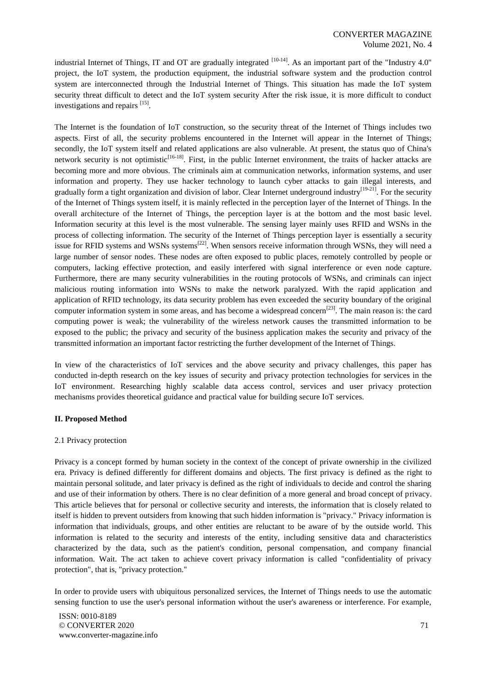industrial Internet of Things, IT and OT are gradually integrated  $[10-14]$ . As an important part of the "Industry 4.0" project, the IoT system, the production equipment, the industrial software system and the production control system are interconnected through the Industrial Internet of Things. This situation has made the IoT system security threat difficult to detect and the IoT system security After the risk issue, it is more difficult to conduct investigations and repairs [15].

The Internet is the foundation of IoT construction, so the security threat of the Internet of Things includes two aspects. First of all, the security problems encountered in the Internet will appear in the Internet of Things; secondly, the IoT system itself and related applications are also vulnerable. At present, the status quo of China's network security is not optimistic<sup>[16-18]</sup>. First, in the public Internet environment, the traits of hacker attacks are becoming more and more obvious. The criminals aim at communication networks, information systems, and user information and property. They use hacker technology to launch cyber attacks to gain illegal interests, and gradually form a tight organization and division of labor. Clear Internet underground industry<sup>[19-21]</sup>. For the security of the Internet of Things system itself, it is mainly reflected in the perception layer of the Internet of Things. In the overall architecture of the Internet of Things, the perception layer is at the bottom and the most basic level. Information security at this level is the most vulnerable. The sensing layer mainly uses RFID and WSNs in the process of collecting information. The security of the Internet of Things perception layer is essentially a security issue for RFID systems and WSNs systems<sup>[22]</sup>. When sensors receive information through WSNs, they will need a large number of sensor nodes. These nodes are often exposed to public places, remotely controlled by people or computers, lacking effective protection, and easily interfered with signal interference or even node capture. Furthermore, there are many security vulnerabilities in the routing protocols of WSNs, and criminals can inject malicious routing information into WSNs to make the network paralyzed. With the rapid application and application of RFID technology, its data security problem has even exceeded the security boundary of the original computer information system in some areas, and has become a widespread concern<sup>[23]</sup>. The main reason is: the card computing power is weak; the vulnerability of the wireless network causes the transmitted information to be exposed to the public; the privacy and security of the business application makes the security and privacy of the transmitted information an important factor restricting the further development of the Internet of Things.

In view of the characteristics of IoT services and the above security and privacy challenges, this paper has conducted in-depth research on the key issues of security and privacy protection technologies for services in the IoT environment. Researching highly scalable data access control, services and user privacy protection mechanisms provides theoretical guidance and practical value for building secure IoT services.

## **II. Proposed Method**

#### 2.1 Privacy protection

Privacy is a concept formed by human society in the context of the concept of private ownership in the civilized era. Privacy is defined differently for different domains and objects. The first privacy is defined as the right to maintain personal solitude, and later privacy is defined as the right of individuals to decide and control the sharing and use of their information by others. There is no clear definition of a more general and broad concept of privacy. This article believes that for personal or collective security and interests, the information that is closely related to itself is hidden to prevent outsiders from knowing that such hidden information is "privacy." Privacy information is information that individuals, groups, and other entities are reluctant to be aware of by the outside world. This information is related to the security and interests of the entity, including sensitive data and characteristics characterized by the data, such as the patient's condition, personal compensation, and company financial information. Wait. The act taken to achieve covert privacy information is called "confidentiality of privacy protection", that is, "privacy protection."

In order to provide users with ubiquitous personalized services, the Internet of Things needs to use the automatic sensing function to use the user's personal information without the user's awareness or interference. For example,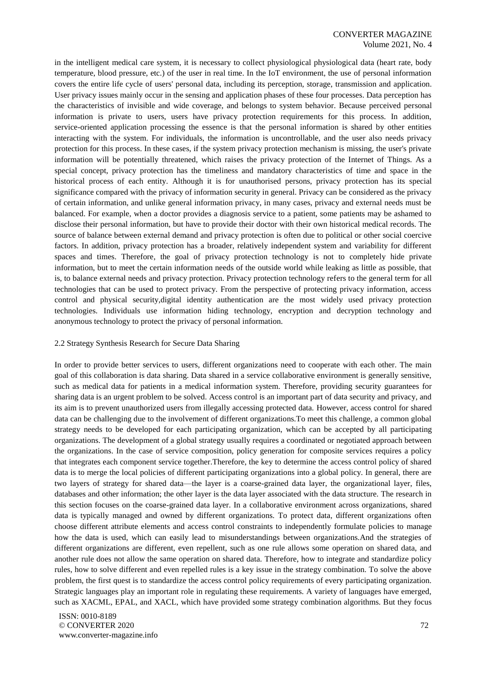in the intelligent medical care system, it is necessary to collect physiological physiological data (heart rate, body temperature, blood pressure, etc.) of the user in real time. In the IoT environment, the use of personal information covers the entire life cycle of users' personal data, including its perception, storage, transmission and application. User privacy issues mainly occur in the sensing and application phases of these four processes. Data perception has the characteristics of invisible and wide coverage, and belongs to system behavior. Because perceived personal information is private to users, users have privacy protection requirements for this process. In addition, service-oriented application processing the essence is that the personal information is shared by other entities interacting with the system. For individuals, the information is uncontrollable, and the user also needs privacy protection for this process. In these cases, if the system privacy protection mechanism is missing, the user's private information will be potentially threatened, which raises the privacy protection of the Internet of Things. As a special concept, privacy protection has the timeliness and mandatory characteristics of time and space in the historical process of each entity. Although it is for unauthorised persons, privacy protection has its special significance compared with the privacy of information security in general. Privacy can be considered as the privacy of certain information, and unlike general information privacy, in many cases, privacy and external needs must be balanced. For example, when a doctor provides a diagnosis service to a patient, some patients may be ashamed to disclose their personal information, but have to provide their doctor with their own historical medical records. The source of balance between external demand and privacy protection is often due to political or other social coercive factors. In addition, privacy protection has a broader, relatively independent system and variability for different spaces and times. Therefore, the goal of privacy protection technology is not to completely hide private information, but to meet the certain information needs of the outside world while leaking as little as possible, that is, to balance external needs and privacy protection. Privacy protection technology refers to the general term for all technologies that can be used to protect privacy. From the perspective of protecting privacy information, access control and physical security,digital identity authentication are the most widely used privacy protection technologies. Individuals use information hiding technology, encryption and decryption technology and anonymous technology to protect the privacy of personal information.

#### 2.2 Strategy Synthesis Research for Secure Data Sharing

In order to provide better services to users, different organizations need to cooperate with each other. The main goal of this collaboration is data sharing. Data shared in a service collaborative environment is generally sensitive, such as medical data for patients in a medical information system. Therefore, providing security guarantees for sharing data is an urgent problem to be solved. Access control is an important part of data security and privacy, and its aim is to prevent unauthorized users from illegally accessing protected data. However, access control for shared data can be challenging due to the involvement of different organizations.To meet this challenge, a common global strategy needs to be developed for each participating organization, which can be accepted by all participating organizations. The development of a global strategy usually requires a coordinated or negotiated approach between the organizations. In the case of service composition, policy generation for composite services requires a policy that integrates each component service together.Therefore, the key to determine the access control policy of shared data is to merge the local policies of different participating organizations into a global policy. In general, there are two layers of strategy for shared data—the layer is a coarse-grained data layer, the organizational layer, files, databases and other information; the other layer is the data layer associated with the data structure. The research in this section focuses on the coarse-grained data layer. In a collaborative environment across organizations, shared data is typically managed and owned by different organizations. To protect data, different organizations often choose different attribute elements and access control constraints to independently formulate policies to manage how the data is used, which can easily lead to misunderstandings between organizations.And the strategies of different organizations are different, even repellent, such as one rule allows some operation on shared data, and another rule does not allow the same operation on shared data. Therefore, how to integrate and standardize policy rules, how to solve different and even repelled rules is a key issue in the strategy combination. To solve the above problem, the first quest is to standardize the access control policy requirements of every participating organization. Strategic languages play an important role in regulating these requirements. A variety of languages have emerged, such as XACML, EPAL, and XACL, which have provided some strategy combination algorithms. But they focus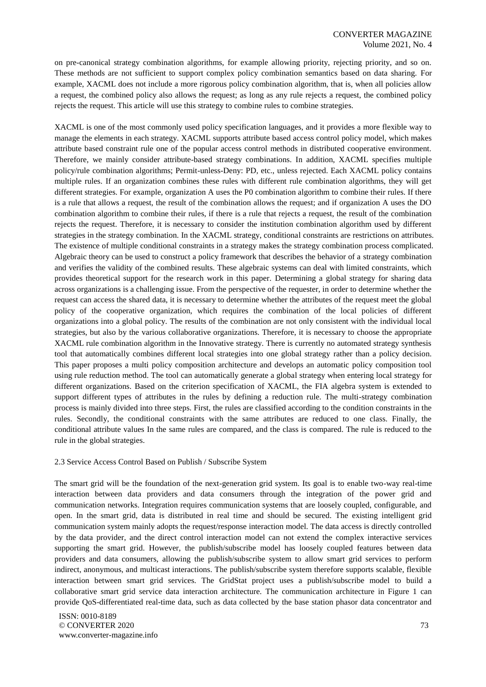on pre-canonical strategy combination algorithms, for example allowing priority, rejecting priority, and so on. These methods are not sufficient to support complex policy combination semantics based on data sharing. For example, XACML does not include a more rigorous policy combination algorithm, that is, when all policies allow a request, the combined policy also allows the request; as long as any rule rejects a request, the combined policy rejects the request. This article will use this strategy to combine rules to combine strategies.

XACML is one of the most commonly used policy specification languages, and it provides a more flexible way to manage the elements in each strategy. XACML supports attribute based access control policy model, which makes attribute based constraint rule one of the popular access control methods in distributed cooperative environment. Therefore, we mainly consider attribute-based strategy combinations. In addition, XACML specifies multiple policy/rule combination algorithms; Permit-unless-Deny: PD, etc., unless rejected. Each XACML policy contains multiple rules. If an organization combines these rules with different rule combination algorithms, they will get different strategies. For example, organization A uses the P0 combination algorithm to combine their rules. If there is a rule that allows a request, the result of the combination allows the request; and if organization A uses the DO combination algorithm to combine their rules, if there is a rule that rejects a request, the result of the combination rejects the request. Therefore, it is necessary to consider the institution combination algorithm used by different strategies in the strategy combination. In the XACML strategy, conditional constraints are restrictions on attributes. The existence of multiple conditional constraints in a strategy makes the strategy combination process complicated. Algebraic theory can be used to construct a policy framework that describes the behavior of a strategy combination and verifies the validity of the combined results. These algebraic systems can deal with limited constraints, which provides theoretical support for the research work in this paper. Determining a global strategy for sharing data across organizations is a challenging issue. From the perspective of the requester, in order to determine whether the request can access the shared data, it is necessary to determine whether the attributes of the request meet the global policy of the cooperative organization, which requires the combination of the local policies of different organizations into a global policy. The results of the combination are not only consistent with the individual local strategies, but also by the various collaborative organizations. Therefore, it is necessary to choose the appropriate XACML rule combination algorithm in the Innovative strategy. There is currently no automated strategy synthesis tool that automatically combines different local strategies into one global strategy rather than a policy decision. This paper proposes a multi policy composition architecture and develops an automatic policy composition tool using rule reduction method. The tool can automatically generate a global strategy when entering local strategy for different organizations. Based on the criterion specification of XACML, the FIA algebra system is extended to support different types of attributes in the rules by defining a reduction rule. The multi-strategy combination process is mainly divided into three steps. First, the rules are classified according to the condition constraints in the rules. Secondly, the conditional constraints with the same attributes are reduced to one class. Finally, the conditional attribute values In the same rules are compared, and the class is compared. The rule is reduced to the rule in the global strategies.

#### 2.3 Service Access Control Based on Publish / Subscribe System

The smart grid will be the foundation of the next-generation grid system. Its goal is to enable two-way real-time interaction between data providers and data consumers through the integration of the power grid and communication networks. Integration requires communication systems that are loosely coupled, configurable, and open. In the smart grid, data is distributed in real time and should be secured. The existing intelligent grid communication system mainly adopts the request/response interaction model. The data access is directly controlled by the data provider, and the direct control interaction model can not extend the complex interactive services supporting the smart grid. However, the publish/subscribe model has loosely coupled features between data providers and data consumers, allowing the publish/subscribe system to allow smart grid services to perform indirect, anonymous, and multicast interactions. The publish/subscribe system therefore supports scalable, flexible interaction between smart grid services. The GridStat project uses a publish/subscribe model to build a collaborative smart grid service data interaction architecture. The communication architecture in Figure 1 can provide QoS-differentiated real-time data, such as data collected by the base station phasor data concentrator and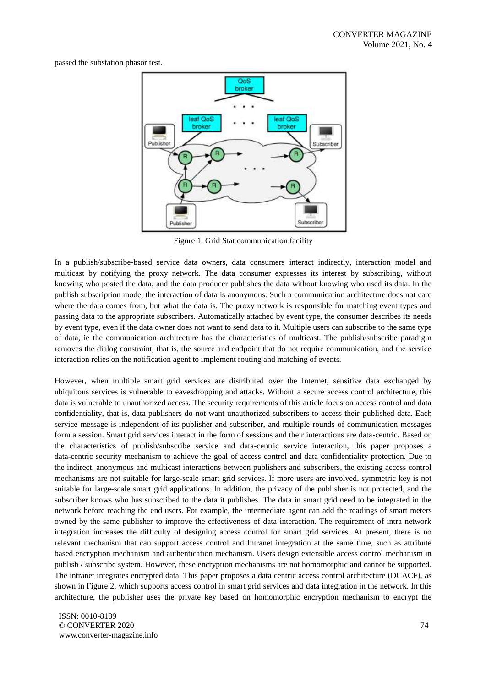passed the substation phasor test.



Figure 1. Grid Stat communication facility

In a publish/subscribe-based service data owners, data consumers interact indirectly, interaction model and multicast by notifying the proxy network. The data consumer expresses its interest by subscribing, without knowing who posted the data, and the data producer publishes the data without knowing who used its data. In the publish subscription mode, the interaction of data is anonymous. Such a communication architecture does not care where the data comes from, but what the data is. The proxy network is responsible for matching event types and passing data to the appropriate subscribers. Automatically attached by event type, the consumer describes its needs by event type, even if the data owner does not want to send data to it. Multiple users can subscribe to the same type of data, ie the communication architecture has the characteristics of multicast. The publish/subscribe paradigm removes the dialog constraint, that is, the source and endpoint that do not require communication, and the service interaction relies on the notification agent to implement routing and matching of events.

However, when multiple smart grid services are distributed over the Internet, sensitive data exchanged by ubiquitous services is vulnerable to eavesdropping and attacks. Without a secure access control architecture, this data is vulnerable to unauthorized access. The security requirements of this article focus on access control and data confidentiality, that is, data publishers do not want unauthorized subscribers to access their published data. Each service message is independent of its publisher and subscriber, and multiple rounds of communication messages form a session. Smart grid services interact in the form of sessions and their interactions are data-centric. Based on the characteristics of publish/subscribe service and data-centric service interaction, this paper proposes a data-centric security mechanism to achieve the goal of access control and data confidentiality protection. Due to the indirect, anonymous and multicast interactions between publishers and subscribers, the existing access control mechanisms are not suitable for large-scale smart grid services. If more users are involved, symmetric key is not suitable for large-scale smart grid applications. In addition, the privacy of the publisher is not protected, and the subscriber knows who has subscribed to the data it publishes. The data in smart grid need to be integrated in the network before reaching the end users. For example, the intermediate agent can add the readings of smart meters owned by the same publisher to improve the effectiveness of data interaction. The requirement of intra network integration increases the difficulty of designing access control for smart grid services. At present, there is no relevant mechanism that can support access control and Intranet integration at the same time, such as attribute based encryption mechanism and authentication mechanism. Users design extensible access control mechanism in publish / subscribe system. However, these encryption mechanisms are not homomorphic and cannot be supported. The intranet integrates encrypted data. This paper proposes a data centric access control architecture (DCACF), as shown in Figure 2, which supports access control in smart grid services and data integration in the network. In this architecture, the publisher uses the private key based on homomorphic encryption mechanism to encrypt the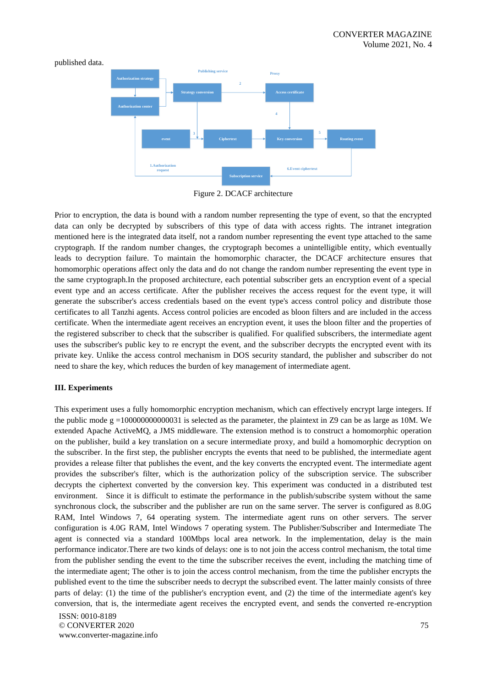published data.



Figure 2. DCACF architecture

Prior to encryption, the data is bound with a random number representing the type of event, so that the encrypted data can only be decrypted by subscribers of this type of data with access rights. The intranet integration mentioned here is the integrated data itself, not a random number representing the event type attached to the same cryptograph. If the random number changes, the cryptograph becomes a unintelligible entity, which eventually leads to decryption failure. To maintain the homomorphic character, the DCACF architecture ensures that homomorphic operations affect only the data and do not change the random number representing the event type in the same cryptograph.In the proposed architecture, each potential subscriber gets an encryption event of a special event type and an access certificate. After the publisher receives the access request for the event type, it will generate the subscriber's access credentials based on the event type's access control policy and distribute those certificates to all Tanzhi agents. Access control policies are encoded as bloon filters and are included in the access certificate. When the intermediate agent receives an encryption event, it uses the bloon filter and the properties of the registered subscriber to check that the subscriber is qualified. For qualified subscribers, the intermediate agent uses the subscriber's public key to re encrypt the event, and the subscriber decrypts the encrypted event with its private key. Unlike the access control mechanism in DOS security standard, the publisher and subscriber do not need to share the key, which reduces the burden of key management of intermediate agent.

## **III. Experiments**

This experiment uses a fully homomorphic encryption mechanism, which can effectively encrypt large integers. If the public mode  $g = 100000000000031$  is selected as the parameter, the plaintext in Z9 can be as large as 10M. We extended Apache ActiveMQ, a JMS middleware. The extension method is to construct a homomorphic operation on the publisher, build a key translation on a secure intermediate proxy, and build a homomorphic decryption on the subscriber. In the first step, the publisher encrypts the events that need to be published, the intermediate agent provides a release filter that publishes the event, and the key converts the encrypted event. The intermediate agent provides the subscriber's filter, which is the authorization policy of the subscription service. The subscriber decrypts the ciphertext converted by the conversion key. This experiment was conducted in a distributed test environment. Since it is difficult to estimate the performance in the publish/subscribe system without the same synchronous clock, the subscriber and the publisher are run on the same server. The server is configured as 8.0G RAM, Intel Windows 7, 64 operating system. The intermediate agent runs on other servers. The server configuration is 4.0G RAM, Intel Windows 7 operating system. The Publisher/Subscriber and Intermediate The agent is connected via a standard 100Mbps local area network. In the implementation, delay is the main performance indicator.There are two kinds of delays: one is to not join the access control mechanism, the total time from the publisher sending the event to the time the subscriber receives the event, including the matching time of the intermediate agent; The other is to join the access control mechanism, from the time the publisher encrypts the published event to the time the subscriber needs to decrypt the subscribed event. The latter mainly consists of three parts of delay: (1) the time of the publisher's encryption event, and (2) the time of the intermediate agent's key conversion, that is, the intermediate agent receives the encrypted event, and sends the converted re-encryption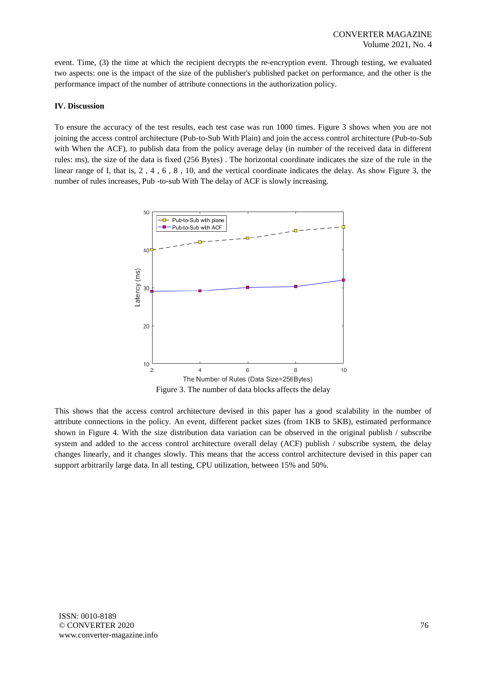event. Time, (3) the time at which the recipient decrypts the re-encryption event. Through testing, we evaluated two aspects: one is the impact of the size of the publisher's published packet on performance, and the other is the performance impact of the number of attribute connections in the authorization policy.

## **IV. Discussion**

To ensure the accuracy of the test results, each test case was run 1000 times. Figure 3 shows when you are not joining the access control architecture (Pub-to-Sub With Plain) and join the access control architecture (Pub-to-Sub with When the ACF), to publish data from the policy average delay (in number of the received data in different rules: ms), the size of the data is fixed (256 Bytes) . The horizontal coordinate indicates the size of the rule in the linear range of I, that is, 2 , 4 , 6 , 8 , 10, and the vertical coordinate indicates the delay. As show Figure 3, the number of rules increases, Pub -to-sub With The delay of ACF is slowly increasing.



Figure 3. The number of data blocks affects the delay

This shows that the access control architecture devised in this paper has a good scalability in the number of attribute connections in the policy. An event, different packet sizes (from 1KB to 5KB), estimated performance shown in Figure 4. With the size distribution data variation can be observed in the original publish / subscribe system and added to the access control architecture overall delay (ACF) publish / subscribe system, the delay changes linearly, and it changes slowly. This means that the access control architecture devised in this paper can support arbitrarily large data. In all testing, CPU utilization, between 15% and 50%.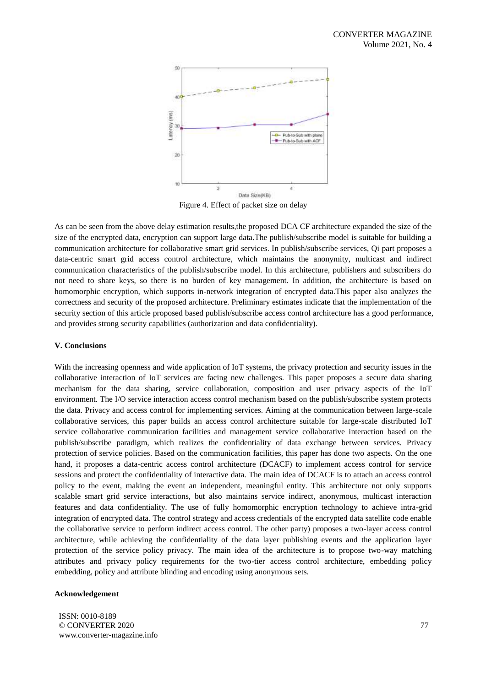

Figure 4. Effect of packet size on delay

As can be seen from the above delay estimation results,the proposed DCA CF architecture expanded the size of the size of the encrypted data, encryption can support large data.The publish/subscribe model is suitable for building a communication architecture for collaborative smart grid services. In publish/subscribe services, Qi part proposes a data-centric smart grid access control architecture, which maintains the anonymity, multicast and indirect communication characteristics of the publish/subscribe model. In this architecture, publishers and subscribers do not need to share keys, so there is no burden of key management. In addition, the architecture is based on homomorphic encryption, which supports in-network integration of encrypted data.This paper also analyzes the correctness and security of the proposed architecture. Preliminary estimates indicate that the implementation of the security section of this article proposed based publish/subscribe access control architecture has a good performance, and provides strong security capabilities (authorization and data confidentiality).

#### **V. Conclusions**

With the increasing openness and wide application of IoT systems, the privacy protection and security issues in the collaborative interaction of IoT services are facing new challenges. This paper proposes a secure data sharing mechanism for the data sharing, service collaboration, composition and user privacy aspects of the IoT environment. The I/O service interaction access control mechanism based on the publish/subscribe system protects the data. Privacy and access control for implementing services. Aiming at the communication between large-scale collaborative services, this paper builds an access control architecture suitable for large-scale distributed IoT service collaborative communication facilities and management service collaborative interaction based on the publish/subscribe paradigm, which realizes the confidentiality of data exchange between services. Privacy protection of service policies. Based on the communication facilities, this paper has done two aspects. On the one hand, it proposes a data-centric access control architecture (DCACF) to implement access control for service sessions and protect the confidentiality of interactive data. The main idea of DCACF is to attach an access control policy to the event, making the event an independent, meaningful entity. This architecture not only supports scalable smart grid service interactions, but also maintains service indirect, anonymous, multicast interaction features and data confidentiality. The use of fully homomorphic encryption technology to achieve intra-grid integration of encrypted data. The control strategy and access credentials of the encrypted data satellite code enable the collaborative service to perform indirect access control. The other party) proposes a two-layer access control architecture, while achieving the confidentiality of the data layer publishing events and the application layer protection of the service policy privacy. The main idea of the architecture is to propose two-way matching attributes and privacy policy requirements for the two-tier access control architecture, embedding policy embedding, policy and attribute blinding and encoding using anonymous sets.

## **Acknowledgement**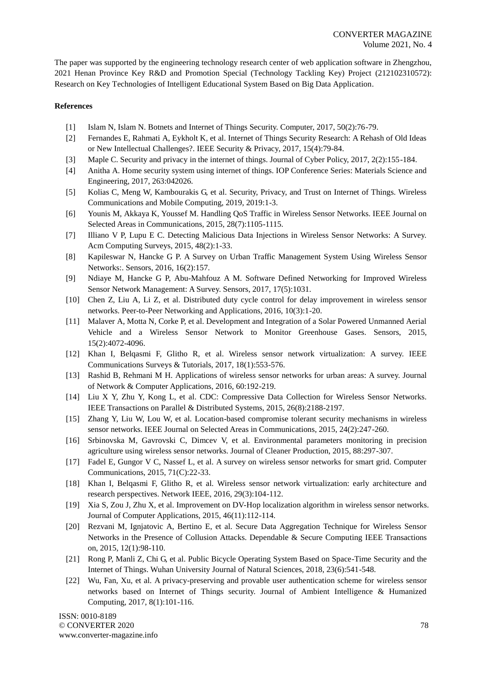The paper was supported by the engineering technology research center of web application software in Zhengzhou, 2021 Henan Province Key R&D and Promotion Special (Technology Tackling Key) Project (212102310572): Research on Key Technologies of Intelligent Educational System Based on Big Data Application.

# **References**

- [1] Islam N, Islam N. Botnets and Internet of Things Security. Computer, 2017, 50(2):76-79.
- [2] Fernandes E, Rahmati A, Eykholt K, et al. Internet of Things Security Research: A Rehash of Old Ideas or New Intellectual Challenges?. IEEE Security & Privacy, 2017, 15(4):79-84.
- [3] Maple C. Security and privacy in the internet of things. Journal of Cyber Policy, 2017, 2(2):155-184.
- [4] Anitha A. Home security system using internet of things. IOP Conference Series: Materials Science and Engineering, 2017, 263:042026.
- [5] Kolias C, Meng W, Kambourakis G, et al. Security, Privacy, and Trust on Internet of Things. Wireless Communications and Mobile Computing, 2019, 2019:1-3.
- [6] Younis M, Akkaya K, Youssef M. Handling QoS Traffic in Wireless Sensor Networks. IEEE Journal on Selected Areas in Communications, 2015, 28(7):1105-1115.
- [7] Illiano V P, Lupu E C. Detecting Malicious Data Injections in Wireless Sensor Networks: A Survey. Acm Computing Surveys, 2015, 48(2):1-33.
- [8] Kapileswar N, Hancke G P. A Survey on Urban Traffic Management System Using Wireless Sensor Networks:. Sensors, 2016, 16(2):157.
- [9] Ndiaye M, Hancke G P, Abu-Mahfouz A M. Software Defined Networking for Improved Wireless Sensor Network Management: A Survey. Sensors, 2017, 17(5):1031.
- [10] Chen Z, Liu A, Li Z, et al. Distributed duty cycle control for delay improvement in wireless sensor networks. Peer-to-Peer Networking and Applications, 2016, 10(3):1-20.
- [11] Malaver A, Motta N, Corke P, et al. Development and Integration of a Solar Powered Unmanned Aerial Vehicle and a Wireless Sensor Network to Monitor Greenhouse Gases. Sensors, 2015, 15(2):4072-4096.
- [12] Khan I, Belqasmi F, Glitho R, et al. Wireless sensor network virtualization: A survey. IEEE Communications Surveys & Tutorials, 2017, 18(1):553-576.
- [13] Rashid B, Rehmani M H. Applications of wireless sensor networks for urban areas: A survey. Journal of Network & Computer Applications, 2016, 60:192-219.
- [14] Liu X Y, Zhu Y, Kong L, et al. CDC: Compressive Data Collection for Wireless Sensor Networks. IEEE Transactions on Parallel & Distributed Systems, 2015, 26(8):2188-2197.
- [15] Zhang Y, Liu W, Lou W, et al. Location-based compromise tolerant security mechanisms in wireless sensor networks. IEEE Journal on Selected Areas in Communications, 2015, 24(2):247-260.
- [16] Srbinovska M, Gavrovski C, Dimcev V, et al. Environmental parameters monitoring in precision agriculture using wireless sensor networks. Journal of Cleaner Production, 2015, 88:297-307.
- [17] Fadel E, Gungor V C, Nassef L, et al. A survey on wireless sensor networks for smart grid. Computer Communications, 2015, 71(C):22-33.
- [18] Khan I, Belqasmi F, Glitho R, et al. Wireless sensor network virtualization: early architecture and research perspectives. Network IEEE, 2016, 29(3):104-112.
- [19] Xia S, Zou J, Zhu X, et al. Improvement on DV-Hop localization algorithm in wireless sensor networks. Journal of Computer Applications, 2015, 46(11):112-114.
- [20] Rezvani M, Ignjatovic A, Bertino E, et al. Secure Data Aggregation Technique for Wireless Sensor Networks in the Presence of Collusion Attacks. Dependable & Secure Computing IEEE Transactions on, 2015, 12(1):98-110.
- [21] Rong P, Manli Z, Chi G, et al. Public Bicycle Operating System Based on Space-Time Security and the Internet of Things. Wuhan University Journal of Natural Sciences, 2018, 23(6):541-548.
- [22] Wu, Fan, Xu, et al. A privacy-preserving and provable user authentication scheme for wireless sensor networks based on Internet of Things security. Journal of Ambient Intelligence & Humanized Computing, 2017, 8(1):101-116.